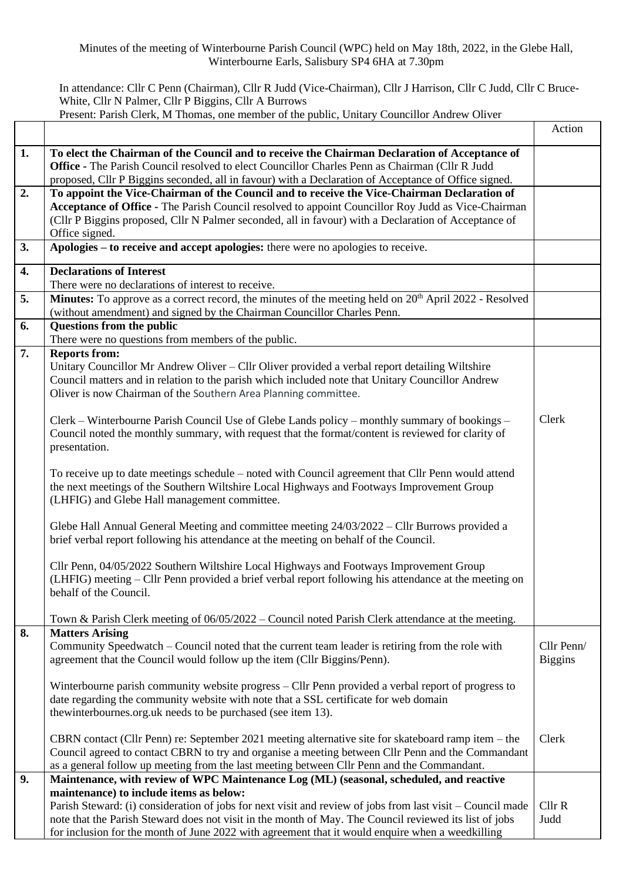## In attendance: Cllr C Penn (Chairman), Cllr R Judd (Vice-Chairman), Cllr J Harrison, Cllr C Judd, Cllr C Bruce-White, Cllr N Palmer, Cllr P Biggins, Cllr A Burrows

Present: Parish Clerk, M Thomas, one member of the public, Unitary Councillor Andrew Oliver

|    |                                                                                                                            | Action         |
|----|----------------------------------------------------------------------------------------------------------------------------|----------------|
| 1. | To elect the Chairman of the Council and to receive the Chairman Declaration of Acceptance of                              |                |
|    | <b>Office - The Parish Council resolved to elect Councillor Charles Penn as Chairman (Cllr R Judd</b>                      |                |
|    | proposed, Cllr P Biggins seconded, all in favour) with a Declaration of Acceptance of Office signed.                       |                |
| 2. | To appoint the Vice-Chairman of the Council and to receive the Vice-Chairman Declaration of                                |                |
|    | Acceptance of Office - The Parish Council resolved to appoint Councillor Roy Judd as Vice-Chairman                         |                |
|    | (Cllr P Biggins proposed, Cllr N Palmer seconded, all in favour) with a Declaration of Acceptance of                       |                |
|    | Office signed.                                                                                                             |                |
| 3. | Apologies – to receive and accept apologies: there were no apologies to receive.                                           |                |
| 4. | <b>Declarations of Interest</b>                                                                                            |                |
|    | There were no declarations of interest to receive.                                                                         |                |
| 5. | Minutes: To approve as a correct record, the minutes of the meeting held on 20 <sup>th</sup> April 2022 - Resolved         |                |
|    | (without amendment) and signed by the Chairman Councillor Charles Penn.                                                    |                |
| 6. | <b>Questions from the public</b>                                                                                           |                |
|    | There were no questions from members of the public.                                                                        |                |
| 7. | <b>Reports from:</b>                                                                                                       |                |
|    | Unitary Councillor Mr Andrew Oliver – Cllr Oliver provided a verbal report detailing Wiltshire                             |                |
|    | Council matters and in relation to the parish which included note that Unitary Councillor Andrew                           |                |
|    | Oliver is now Chairman of the Southern Area Planning committee.                                                            |                |
|    |                                                                                                                            |                |
|    | Clerk – Winterbourne Parish Council Use of Glebe Lands policy – monthly summary of bookings –                              | Clerk          |
|    | Council noted the monthly summary, with request that the format/content is reviewed for clarity of                         |                |
|    | presentation.                                                                                                              |                |
|    |                                                                                                                            |                |
|    | To receive up to date meetings schedule – noted with Council agreement that Cllr Penn would attend                         |                |
|    | the next meetings of the Southern Wiltshire Local Highways and Footways Improvement Group                                  |                |
|    | (LHFIG) and Glebe Hall management committee.                                                                               |                |
|    |                                                                                                                            |                |
|    | Glebe Hall Annual General Meeting and committee meeting 24/03/2022 – Cllr Burrows provided a                               |                |
|    | brief verbal report following his attendance at the meeting on behalf of the Council.                                      |                |
|    |                                                                                                                            |                |
|    | Cllr Penn, 04/05/2022 Southern Wiltshire Local Highways and Footways Improvement Group                                     |                |
|    | (LHFIG) meeting – Cllr Penn provided a brief verbal report following his attendance at the meeting on                      |                |
|    | behalf of the Council.                                                                                                     |                |
|    |                                                                                                                            |                |
|    | Town & Parish Clerk meeting of 06/05/2022 – Council noted Parish Clerk attendance at the meeting.                          |                |
| 8. | <b>Matters Arising</b><br>Community Speedwatch - Council noted that the current team leader is retiring from the role with | Cllr Penn/     |
|    | agreement that the Council would follow up the item (Cllr Biggins/Penn).                                                   | <b>Biggins</b> |
|    |                                                                                                                            |                |
|    | Winterbourne parish community website progress – Cllr Penn provided a verbal report of progress to                         |                |
|    | date regarding the community website with note that a SSL certificate for web domain                                       |                |
|    | thewinterbournes.org.uk needs to be purchased (see item 13).                                                               |                |
|    |                                                                                                                            |                |
|    | CBRN contact (Cllr Penn) re: September 2021 meeting alternative site for skateboard ramp item - the                        | Clerk          |
|    | Council agreed to contact CBRN to try and organise a meeting between Cllr Penn and the Commandant                          |                |
|    | as a general follow up meeting from the last meeting between Cllr Penn and the Commandant.                                 |                |
| 9. | Maintenance, with review of WPC Maintenance Log (ML) (seasonal, scheduled, and reactive                                    |                |
|    | maintenance) to include items as below:                                                                                    |                |
|    | Parish Steward: (i) consideration of jobs for next visit and review of jobs from last visit – Council made                 | Cllr R         |
|    | note that the Parish Steward does not visit in the month of May. The Council reviewed its list of jobs                     | Judd           |
|    | for inclusion for the month of June 2022 with agreement that it would enquire when a weedkilling                           |                |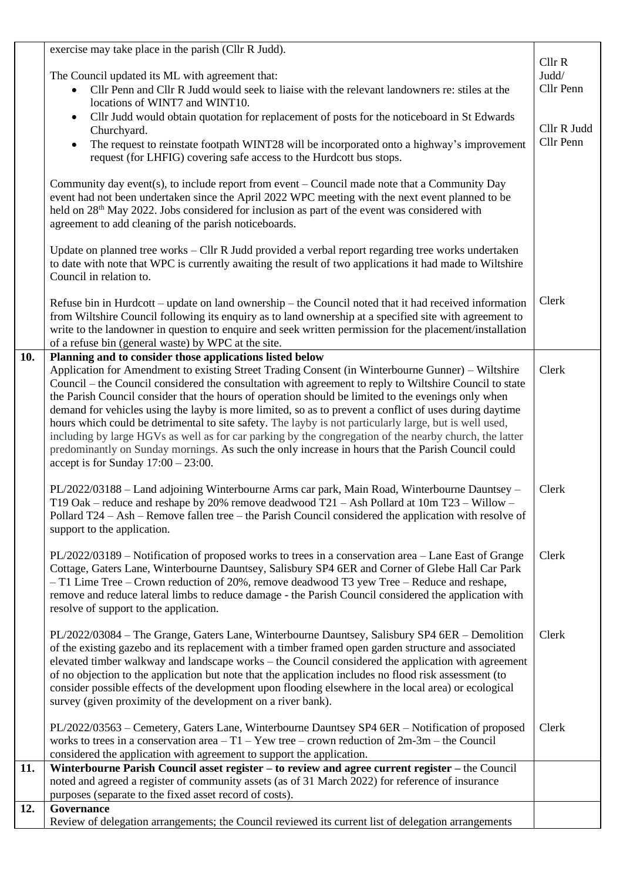|     | exercise may take place in the parish (Cllr R Judd).                                                                                                                                                          |                    |
|-----|---------------------------------------------------------------------------------------------------------------------------------------------------------------------------------------------------------------|--------------------|
|     |                                                                                                                                                                                                               | Cl <sub>lr</sub> R |
|     | The Council updated its ML with agreement that:                                                                                                                                                               | Judd/              |
|     | Cllr Penn and Cllr R Judd would seek to liaise with the relevant landowners re: stiles at the                                                                                                                 | Cllr Penn          |
|     | locations of WINT7 and WINT10.                                                                                                                                                                                |                    |
|     | Cllr Judd would obtain quotation for replacement of posts for the noticeboard in St Edwards<br>$\bullet$                                                                                                      |                    |
|     | Churchyard.                                                                                                                                                                                                   | Cllr R Judd        |
|     | The request to reinstate footpath WINT28 will be incorporated onto a highway's improvement<br>$\bullet$                                                                                                       | Cllr Penn          |
|     | request (for LHFIG) covering safe access to the Hurdcott bus stops.                                                                                                                                           |                    |
|     |                                                                                                                                                                                                               |                    |
|     | Community day events), to include report from event $-$ Council made note that a Community Day                                                                                                                |                    |
|     | event had not been undertaken since the April 2022 WPC meeting with the next event planned to be                                                                                                              |                    |
|     | held on 28 <sup>th</sup> May 2022. Jobs considered for inclusion as part of the event was considered with                                                                                                     |                    |
|     | agreement to add cleaning of the parish noticeboards.                                                                                                                                                         |                    |
|     |                                                                                                                                                                                                               |                    |
|     | Update on planned tree works – Cllr R Judd provided a verbal report regarding tree works undertaken                                                                                                           |                    |
|     | to date with note that WPC is currently awaiting the result of two applications it had made to Wiltshire                                                                                                      |                    |
|     | Council in relation to.                                                                                                                                                                                       |                    |
|     |                                                                                                                                                                                                               |                    |
|     | Refuse bin in Hurdcott – update on land ownership – the Council noted that it had received information                                                                                                        | Clerk              |
|     | from Wiltshire Council following its enquiry as to land ownership at a specified site with agreement to                                                                                                       |                    |
|     | write to the landowner in question to enquire and seek written permission for the placement/installation                                                                                                      |                    |
|     | of a refuse bin (general waste) by WPC at the site.                                                                                                                                                           |                    |
| 10. | Planning and to consider those applications listed below                                                                                                                                                      |                    |
|     | Application for Amendment to existing Street Trading Consent (in Winterbourne Gunner) - Wiltshire                                                                                                             | Clerk              |
|     | Council – the Council considered the consultation with agreement to reply to Wiltshire Council to state                                                                                                       |                    |
|     | the Parish Council consider that the hours of operation should be limited to the evenings only when                                                                                                           |                    |
|     | demand for vehicles using the layby is more limited, so as to prevent a conflict of uses during daytime                                                                                                       |                    |
|     | hours which could be detrimental to site safety. The layby is not particularly large, but is well used,                                                                                                       |                    |
|     |                                                                                                                                                                                                               |                    |
|     | including by large HGVs as well as for car parking by the congregation of the nearby church, the latter<br>predominantly on Sunday mornings. As such the only increase in hours that the Parish Council could |                    |
|     |                                                                                                                                                                                                               |                    |
|     | accept is for Sunday $17:00 - 23:00$ .                                                                                                                                                                        |                    |
|     | PL/2022/03188 - Land adjoining Winterbourne Arms car park, Main Road, Winterbourne Dauntsey -                                                                                                                 | Clerk              |
|     | T19 Oak – reduce and reshape by 20% remove deadwood $T21 -$ Ash Pollard at 10m $T23 -$ Willow –                                                                                                               |                    |
|     | Pollard $T24 - Ash - Remove$ fallen tree – the Parish Council considered the application with resolve of                                                                                                      |                    |
|     |                                                                                                                                                                                                               |                    |
|     | support to the application.                                                                                                                                                                                   |                    |
|     |                                                                                                                                                                                                               |                    |
|     | PL/2022/03189 – Notification of proposed works to trees in a conservation area – Lane East of Grange                                                                                                          | Clerk              |
|     | Cottage, Gaters Lane, Winterbourne Dauntsey, Salisbury SP4 6ER and Corner of Glebe Hall Car Park                                                                                                              |                    |
|     | - T1 Lime Tree - Crown reduction of 20%, remove deadwood T3 yew Tree - Reduce and reshape,                                                                                                                    |                    |
|     | remove and reduce lateral limbs to reduce damage - the Parish Council considered the application with                                                                                                         |                    |
|     | resolve of support to the application.                                                                                                                                                                        |                    |
|     |                                                                                                                                                                                                               |                    |
|     | PL/2022/03084 - The Grange, Gaters Lane, Winterbourne Dauntsey, Salisbury SP4 6ER - Demolition                                                                                                                | Clerk              |
|     | of the existing gazebo and its replacement with a timber framed open garden structure and associated                                                                                                          |                    |
|     | elevated timber walkway and landscape works – the Council considered the application with agreement                                                                                                           |                    |
|     | of no objection to the application but note that the application includes no flood risk assessment (to                                                                                                        |                    |
|     | consider possible effects of the development upon flooding elsewhere in the local area) or ecological                                                                                                         |                    |
|     | survey (given proximity of the development on a river bank).                                                                                                                                                  |                    |
|     |                                                                                                                                                                                                               |                    |
|     | PL/2022/03563 – Cemetery, Gaters Lane, Winterbourne Dauntsey SP4 6ER – Notification of proposed                                                                                                               | Clerk              |
|     | works to trees in a conservation area $-T1 - Yew$ tree $-$ crown reduction of $2m-3m$ – the Council                                                                                                           |                    |
|     | considered the application with agreement to support the application.                                                                                                                                         |                    |
| 11. | Winterbourne Parish Council asset register – to review and agree current register – the Council                                                                                                               |                    |
|     | noted and agreed a register of community assets (as of 31 March 2022) for reference of insurance                                                                                                              |                    |
|     | purposes (separate to the fixed asset record of costs).                                                                                                                                                       |                    |
| 12. | Governance                                                                                                                                                                                                    |                    |
|     | Review of delegation arrangements; the Council reviewed its current list of delegation arrangements                                                                                                           |                    |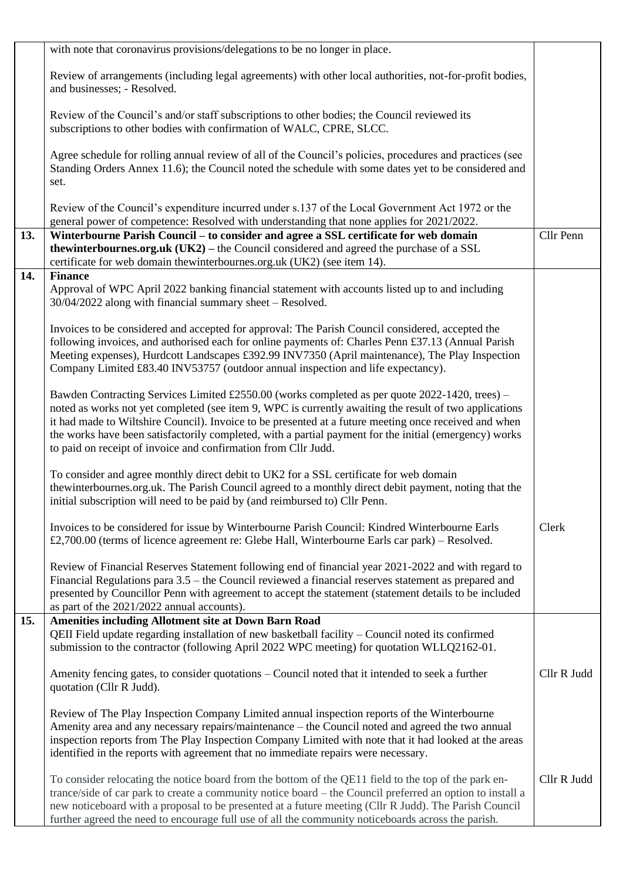|     | with note that coronavirus provisions/delegations to be no longer in place.                                                                                                                                                                                                                                                                                                                                                                                                                   |             |
|-----|-----------------------------------------------------------------------------------------------------------------------------------------------------------------------------------------------------------------------------------------------------------------------------------------------------------------------------------------------------------------------------------------------------------------------------------------------------------------------------------------------|-------------|
|     | Review of arrangements (including legal agreements) with other local authorities, not-for-profit bodies,<br>and businesses; - Resolved.                                                                                                                                                                                                                                                                                                                                                       |             |
|     | Review of the Council's and/or staff subscriptions to other bodies; the Council reviewed its<br>subscriptions to other bodies with confirmation of WALC, CPRE, SLCC.                                                                                                                                                                                                                                                                                                                          |             |
|     | Agree schedule for rolling annual review of all of the Council's policies, procedures and practices (see<br>Standing Orders Annex 11.6); the Council noted the schedule with some dates yet to be considered and<br>set.                                                                                                                                                                                                                                                                      |             |
|     | Review of the Council's expenditure incurred under s.137 of the Local Government Act 1972 or the<br>general power of competence: Resolved with understanding that none applies for 2021/2022.                                                                                                                                                                                                                                                                                                 |             |
| 13. | Winterbourne Parish Council – to consider and agree a SSL certificate for web domain<br>thewinterbournes.org.uk (UK2) – the Council considered and agreed the purchase of a SSL<br>certificate for web domain thewinterbournes.org.uk (UK2) (see item 14).                                                                                                                                                                                                                                    | Cllr Penn   |
| 14. | <b>Finance</b><br>Approval of WPC April 2022 banking financial statement with accounts listed up to and including<br>30/04/2022 along with financial summary sheet - Resolved.                                                                                                                                                                                                                                                                                                                |             |
|     | Invoices to be considered and accepted for approval: The Parish Council considered, accepted the<br>following invoices, and authorised each for online payments of: Charles Penn £37.13 (Annual Parish<br>Meeting expenses), Hurdcott Landscapes £392.99 INV7350 (April maintenance), The Play Inspection<br>Company Limited £83.40 INV53757 (outdoor annual inspection and life expectancy).                                                                                                 |             |
|     | Bawden Contracting Services Limited £2550.00 (works completed as per quote 2022-1420, trees) –<br>noted as works not yet completed (see item 9, WPC is currently awaiting the result of two applications<br>it had made to Wiltshire Council). Invoice to be presented at a future meeting once received and when<br>the works have been satisfactorily completed, with a partial payment for the initial (emergency) works<br>to paid on receipt of invoice and confirmation from Cllr Judd. |             |
|     | To consider and agree monthly direct debit to UK2 for a SSL certificate for web domain<br>thewinterbournes.org.uk. The Parish Council agreed to a monthly direct debit payment, noting that the<br>initial subscription will need to be paid by (and reimbursed to) Cllr Penn.                                                                                                                                                                                                                |             |
|     | Invoices to be considered for issue by Winterbourne Parish Council: Kindred Winterbourne Earls<br>£2,700.00 (terms of licence agreement re: Glebe Hall, Winterbourne Earls car park) – Resolved.                                                                                                                                                                                                                                                                                              | Clerk       |
|     | Review of Financial Reserves Statement following end of financial year 2021-2022 and with regard to<br>Financial Regulations para 3.5 – the Council reviewed a financial reserves statement as prepared and<br>presented by Councillor Penn with agreement to accept the statement (statement details to be included<br>as part of the 2021/2022 annual accounts).                                                                                                                            |             |
| 15. | <b>Amenities including Allotment site at Down Barn Road</b><br>QEII Field update regarding installation of new basketball facility - Council noted its confirmed                                                                                                                                                                                                                                                                                                                              |             |
|     | submission to the contractor (following April 2022 WPC meeting) for quotation WLLQ2162-01.                                                                                                                                                                                                                                                                                                                                                                                                    |             |
|     | Amenity fencing gates, to consider quotations – Council noted that it intended to seek a further<br>quotation (Cllr R Judd).                                                                                                                                                                                                                                                                                                                                                                  | Cllr R Judd |
|     | Review of The Play Inspection Company Limited annual inspection reports of the Winterbourne<br>Amenity area and any necessary repairs/maintenance – the Council noted and agreed the two annual<br>inspection reports from The Play Inspection Company Limited with note that it had looked at the areas<br>identified in the reports with agreement that no immediate repairs were necessary.                                                                                                |             |
|     | To consider relocating the notice board from the bottom of the QE11 field to the top of the park en-<br>trance/side of car park to create a community notice board – the Council preferred an option to install a<br>new noticeboard with a proposal to be presented at a future meeting (Cllr R Judd). The Parish Council<br>further agreed the need to encourage full use of all the community noticeboards across the parish.                                                              | Cllr R Judd |